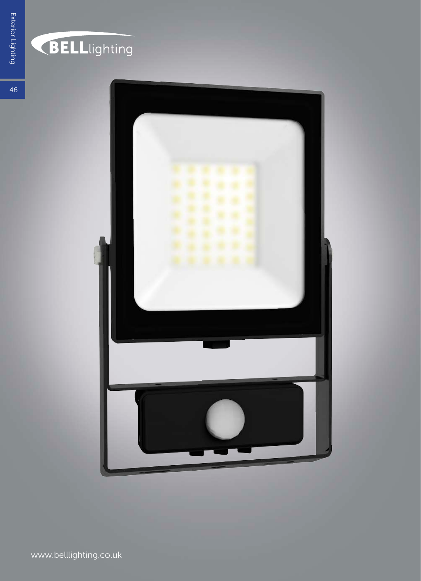

## **BELL**lighting

 $46 \overline{6}$ 

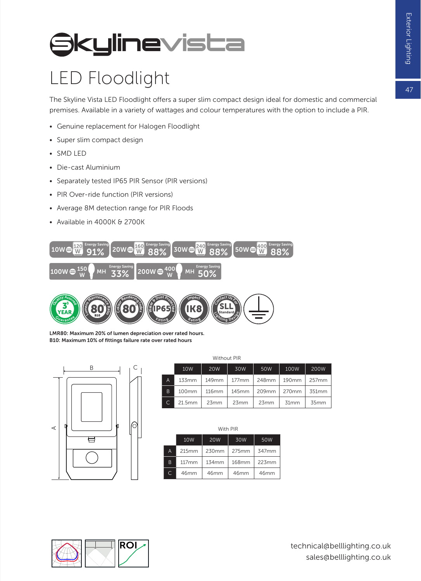#### 47

## **Skylinevista**

#### LED Floodlight

The Skyline Vista LED Floodlight offers a super slim compact design ideal for domestic and commercial premises. Available in a variety of wattages and colour temperatures with the option to include a PIR.

- Genuine replacement for Halogen Floodlight
- Super slim compact design
- SMD LED
- Die-cast Aluminium
- Separately tested IP65 PIR Sensor (PIR versions)
- PIR Over-ride function (PIR versions)
- Average 8M detection range for PIR Floods
- Available in 4000K & 2700K





LMR80: Maximum 20% of lumen depreciation over rated hours. B10: Maximum 10% of fittings failure rate over rated hours



|                | <b>Without PIR</b> |            |       |       |       |       |
|----------------|--------------------|------------|-------|-------|-------|-------|
|                | 10W                | <b>20W</b> | 30W   | 50W   | 100W  | 200W  |
| $\overline{A}$ | 133mm              | 149mm      | 177mm | 248mm | 190mm | 257mm |
| <sub>B</sub>   | 100mm              | 116mm      | 145mm | 209mm | 270mm | 351mm |
|                | 21.5mm             | 23mm       | 23mm  | 23mm  | 31mm  | 35mm  |

|    | With PIR        |            |       |       |  |  |
|----|-----------------|------------|-------|-------|--|--|
|    | 10 <sub>W</sub> | <b>20W</b> | 30W   | 50W   |  |  |
| A  | 215mm           | 230mm      | 275mm | 347mm |  |  |
| B  | 117mm           | 134mm      | 168mm | 223mm |  |  |
| C. | 46mm            | 46mm       | 46mm  | 46mm  |  |  |

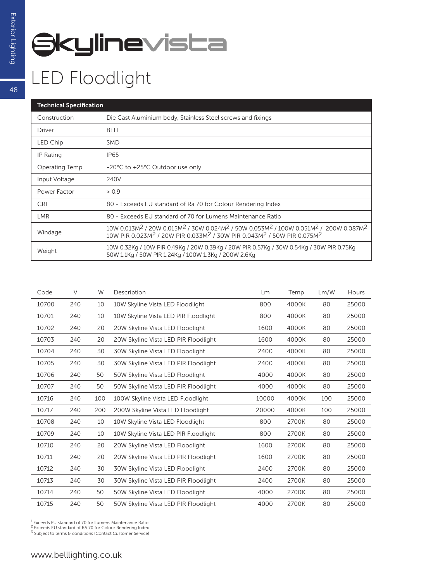# **Skylinevista**

### LED Floodlight

| <b>Technical Specification</b> |                                                                                                                                                                                                                                                                              |  |  |  |
|--------------------------------|------------------------------------------------------------------------------------------------------------------------------------------------------------------------------------------------------------------------------------------------------------------------------|--|--|--|
| Construction                   | Die Cast Aluminium body, Stainless Steel screws and fixings                                                                                                                                                                                                                  |  |  |  |
| Driver                         | <b>BELL</b>                                                                                                                                                                                                                                                                  |  |  |  |
| LED Chip                       | <b>SMD</b>                                                                                                                                                                                                                                                                   |  |  |  |
| IP Rating                      | IP65                                                                                                                                                                                                                                                                         |  |  |  |
| Operating Temp                 | -20°C to +25°C Outdoor use only                                                                                                                                                                                                                                              |  |  |  |
| Input Voltage                  | 240V                                                                                                                                                                                                                                                                         |  |  |  |
| Power Factor                   | > 0.9                                                                                                                                                                                                                                                                        |  |  |  |
| <b>CRI</b>                     | 80 - Exceeds EU standard of Ra 70 for Colour Rendering Index                                                                                                                                                                                                                 |  |  |  |
| <b>LMR</b>                     | 80 - Exceeds EU standard of 70 for Lumens Maintenance Ratio                                                                                                                                                                                                                  |  |  |  |
| Windage                        | $10W\,0.013M^2$ / 20W 0.015M <sup>2</sup> / 30W 0.024M <sup>2</sup> / 50W 0.053M <sup>2</sup> / 100W 0.051M <sup>2</sup> / 200W 0.087M <sup>2</sup><br>10W PIR 0.023M <sup>2</sup> / 20W PIR 0.033M <sup>2</sup> / 30W PIR 0.043M <sup>2</sup> / 50W PIR 0.075M <sup>2</sup> |  |  |  |
| Weight                         | 10W 0.32Kg / 10W PIR 0.49Kg / 20W 0.39Kg / 20W PIR 0.57Kg / 30W 0.54Kg / 30W PIR 0.75Kg<br>50W 1.1Kg / 50W PIR 1.24Kg / 100W 1.3Kg / 200W 2.6Kg                                                                                                                              |  |  |  |

| Code  | V   | W   | Description                          | Lm    | Temp  | Lm/W | Hours |
|-------|-----|-----|--------------------------------------|-------|-------|------|-------|
| 10700 | 240 | 10  | 10W Skyline Vista LED Floodlight     | 800   | 4000K | 80   | 25000 |
| 10701 | 240 | 10  | 10W Skyline Vista LED PIR Floodlight | 800   | 4000K | 80   | 25000 |
| 10702 | 240 | 20  | 20W Skyline Vista LED Floodlight     | 1600  | 4000K | 80   | 25000 |
| 10703 | 240 | 20  | 20W Skyline Vista LED PIR Floodlight | 1600  | 4000K | 80   | 25000 |
| 10704 | 240 | 30  | 30W Skyline Vista LED Floodlight     | 2400  | 4000K | 80   | 25000 |
| 10705 | 240 | 30  | 30W Skyline Vista LED PIR Floodlight | 2400  | 4000K | 80   | 25000 |
| 10706 | 240 | 50  | 50W Skyline Vista LED Floodlight     | 4000  | 4000K | 80   | 25000 |
| 10707 | 240 | 50  | 50W Skyline Vista LED PIR Floodlight | 4000  | 4000K | 80   | 25000 |
| 10716 | 240 | 100 | 100W Skyline Vista LED Floodlight    | 10000 | 4000K | 100  | 25000 |
| 10717 | 240 | 200 | 200W Skyline Vista LED Floodlight    | 20000 | 4000K | 100  | 25000 |
| 10708 | 240 | 10  | 10W Skyline Vista LED Floodlight     | 800   | 2700K | 80   | 25000 |
| 10709 | 240 | 10  | 10W Skyline Vista LED PIR Floodlight | 800   | 2700K | 80   | 25000 |
| 10710 | 240 | 20  | 20W Skyline Vista LED Floodlight     | 1600  | 2700K | 80   | 25000 |
| 10711 | 240 | 20  | 20W Skyline Vista LED PIR Floodlight | 1600  | 2700K | 80   | 25000 |
| 10712 | 240 | 30  | 30W Skyline Vista LED Floodlight     | 2400  | 2700K | 80   | 25000 |
| 10713 | 240 | 30  | 30W Skyline Vista LED PIR Floodlight | 2400  | 2700K | 80   | 25000 |
| 10714 | 240 | 50  | 50W Skyline Vista LED Floodlight     | 4000  | 2700K | 80   | 25000 |
| 10715 | 240 | 50  | 50W Skyline Vista LED PIR Floodlight | 4000  | 2700K | 80   | 25000 |

<sup>1</sup> Exceeds EU standard of 70 for Lumens Maintenance Ratio<br><sup>2</sup> Exceeds EU standard of RA 70 for Colour Rendering Index<br><sup>3</sup> Subject to terms & conditions (Contact Customer Service)

48